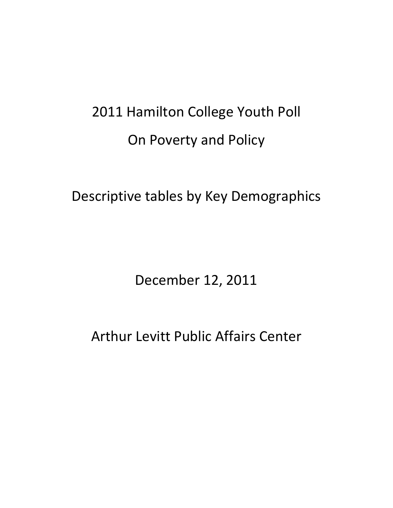# 2011 Hamilton College Youth Poll On Poverty and Policy

Descriptive tables by Key Demographics

December 12, 2011

Arthur Levitt Public Affairs Center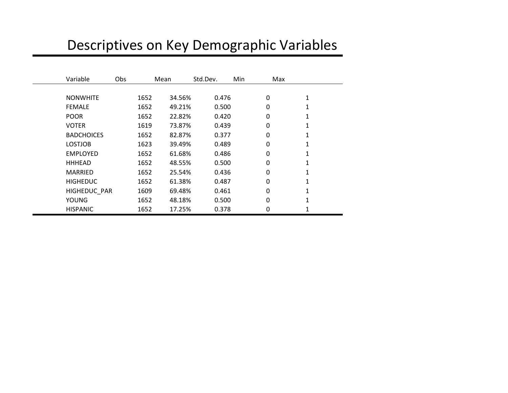# Descriptives on Key Demographic Variables

| Variable          | Obs  | Mean   | Std.Dev. | Min | Max |   |
|-------------------|------|--------|----------|-----|-----|---|
|                   |      |        |          |     |     |   |
| <b>NONWHITE</b>   | 1652 | 34.56% | 0.476    |     | 0   | 1 |
| <b>FEMALE</b>     | 1652 | 49.21% | 0.500    |     | 0   | 1 |
| <b>POOR</b>       | 1652 | 22.82% | 0.420    |     | 0   | 1 |
| <b>VOTER</b>      | 1619 | 73.87% | 0.439    |     | 0   | 1 |
| <b>BADCHOICES</b> | 1652 | 82.87% | 0.377    |     | 0   |   |
| <b>LOSTJOB</b>    | 1623 | 39.49% | 0.489    |     | 0   |   |
| <b>EMPLOYED</b>   | 1652 | 61.68% | 0.486    |     | 0   | 1 |
| <b>HHHEAD</b>     | 1652 | 48.55% | 0.500    |     | 0   | 1 |
| <b>MARRIED</b>    | 1652 | 25.54% | 0.436    |     | 0   | 1 |
| <b>HIGHEDUC</b>   | 1652 | 61.38% | 0.487    |     | 0   |   |
| HIGHEDUC PAR      | 1609 | 69.48% | 0.461    |     | 0   | 1 |
| <b>YOUNG</b>      | 1652 | 48.18% | 0.500    |     | 0   |   |
| <b>HISPANIC</b>   | 1652 | 17.25% | 0.378    |     | 0   |   |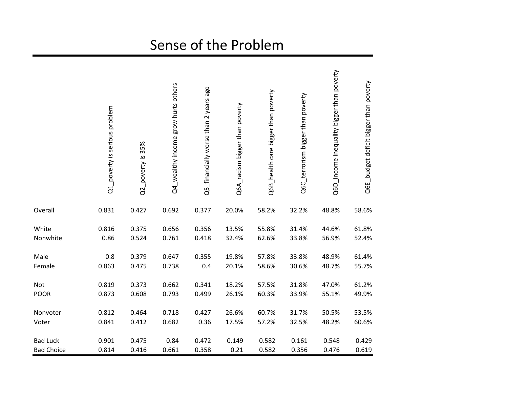# Sense of the Problem

|                   | Q1_poverty is serious problem | Q2_poverty is 35% | Q4_wealthy income grow hurts others | Q5_financially worse than 2 years ago | Q6A_racism bigger than poverty | Q6B_health care bigger than poverty | Q6C_terrorism bigger than poverty | Q6D_income inequality bigger than poverty | Q6E_budget deficit bigger than poverty |
|-------------------|-------------------------------|-------------------|-------------------------------------|---------------------------------------|--------------------------------|-------------------------------------|-----------------------------------|-------------------------------------------|----------------------------------------|
| Overall           | 0.831                         | 0.427             | 0.692                               | 0.377                                 | 20.0%                          | 58.2%                               | 32.2%                             | 48.8%                                     | 58.6%                                  |
| White             | 0.816                         | 0.375             | 0.656                               | 0.356                                 | 13.5%                          | 55.8%                               | 31.4%                             | 44.6%                                     | 61.8%                                  |
| Nonwhite          | 0.86                          | 0.524             | 0.761                               | 0.418                                 | 32.4%                          | 62.6%                               | 33.8%                             | 56.9%                                     | 52.4%                                  |
| Male              | 0.8                           | 0.379             | 0.647                               | 0.355                                 | 19.8%                          | 57.8%                               | 33.8%                             | 48.9%                                     | 61.4%                                  |
| Female            | 0.863                         | 0.475             | 0.738                               | 0.4                                   | 20.1%                          | 58.6%                               | 30.6%                             | 48.7%                                     | 55.7%                                  |
| Not               | 0.819                         | 0.373             | 0.662                               | 0.341                                 | 18.2%                          | 57.5%                               | 31.8%                             | 47.0%                                     | 61.2%                                  |
| <b>POOR</b>       | 0.873                         | 0.608             | 0.793                               | 0.499                                 | 26.1%                          | 60.3%                               | 33.9%                             | 55.1%                                     | 49.9%                                  |
| Nonvoter          | 0.812                         | 0.464             | 0.718                               | 0.427                                 | 26.6%                          | 60.7%                               | 31.7%                             | 50.5%                                     | 53.5%                                  |
| Voter             | 0.841                         | 0.412             | 0.682                               | 0.36                                  | 17.5%                          | 57.2%                               | 32.5%                             | 48.2%                                     | 60.6%                                  |
| <b>Bad Luck</b>   | 0.901                         | 0.475             | 0.84                                | 0.472                                 | 0.149                          | 0.582                               | 0.161                             | 0.548                                     | 0.429                                  |
| <b>Bad Choice</b> | 0.814                         | 0.416             | 0.661                               | 0.358                                 | 0.21                           | 0.582                               | 0.356                             | 0.476                                     | 0.619                                  |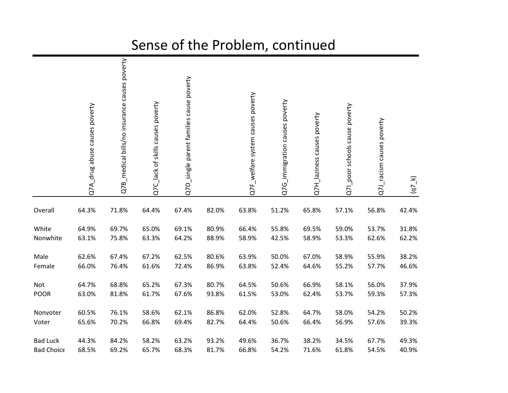#### Q7B\_medical bills/no insurance causes poverty Q7B\_medical bills/no insurance causes poverty Q7D\_single parent families cause poverty Q7D\_single parent families cause poverty Q7F\_welfare system causes poverty Q7F\_welfare system causes poverty Q7G\_immigration causes poverty Q7G\_immigration causes poverty Q7C\_lack of skills causes poverty Q7C\_lack of skills causes poverty Q7A\_drug abuse causes poverty Q71\_poor schools cause poverty Q7A\_drug abuse causes poverty Q7I\_poor schools cause poverty Q7H\_laziness causes poverty Q7H\_laziness causes poverty Q7J\_racism causes poverty Q7J\_racism causes poverty  $(q7_k)$ Overall 64.3% 71.8% 64.4% 67.4% 82.0% 63.8% 51.2% 65.8% 57.1% 56.8% 42.4% White 64.9% 69.7% 65.0% 69.1% 80.9% 66.4% 55.8% 69.5% 59.0% 53.7% 31.8% Nonwhite 63.1% 75.8% 63.3% 64.2% 88.9% 58.9% 42.5% 58.9% 53.3% 62.6% 62.2% Male 62.6% 67.4% 67.2% 62.5% 80.6% 63.9% 50.0% 67.0% 58.9% 55.9% 38.2% Female 66.0% 76.4% 61.6% 72.4% 86.9% 63.8% 52.4% 64.6% 55.2% 57.7% 46.6% Not 64.7% 68.8% 65.2% 67.3% 80.7% 64.5% 50.6% 66.9% 58.1% 56.0% 37.9% POOR 63.0% 81.8% 61.7% 67.6% 93.8% 61.5% 53.0% 62.4% 53.7% 59.3% 57.3% Nonvoter 60.5% 76.1% 58.6% 62.1% 86.8% 62.0% 52.8% 64.7% 58.0% 54.2% 50.2% Voter 65.6% 70.2% 66.8% 69.4% 82.7% 64.4% 50.6% 66.4% 56.9% 57.6% 39.3% Bad Luck 44.3% 84.2% 58.2% 63.2% 93.2% 49.6% 36.7% 38.2% 34.5% 67.7% 49.3% Bad Choice 68.5% 69.2% 65.7% 68.3% 81.7% 66.8% 54.2% 71.6% 61.8% 54.5% 40.9%

### Sense of the Problem, continued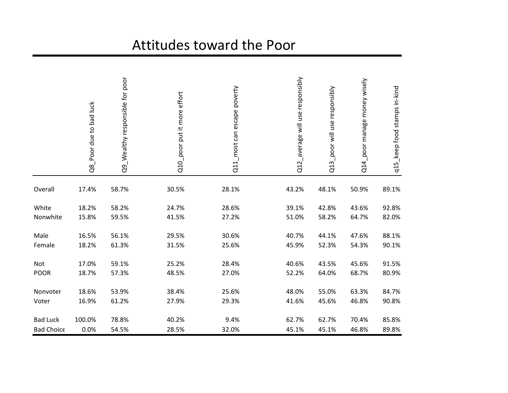## Attitudes toward the Poor

|                   | Q8_Poor due to bad luck | Q9_Wealthy responsible for poor | Q10_poor put it more effort | most can escape poverty<br>$\overline{c}$ | Q12_average will use responsibly | _poor will use responsibly<br>Q13 | Q14_poor manage money wisely | q15_keep food stamps in-kind |
|-------------------|-------------------------|---------------------------------|-----------------------------|-------------------------------------------|----------------------------------|-----------------------------------|------------------------------|------------------------------|
| Overall           | 17.4%                   | 58.7%                           | 30.5%                       | 28.1%                                     | 43.2%                            | 48.1%                             | 50.9%                        | 89.1%                        |
| White             | 18.2%                   | 58.2%                           | 24.7%                       | 28.6%                                     | 39.1%                            | 42.8%                             | 43.6%                        | 92.8%                        |
| Nonwhite          | 15.8%                   | 59.5%                           | 41.5%                       | 27.2%                                     | 51.0%                            | 58.2%                             | 64.7%                        | 82.0%                        |
| Male              | 16.5%                   | 56.1%                           | 29.5%                       | 30.6%                                     | 40.7%                            | 44.1%                             | 47.6%                        | 88.1%                        |
| Female            | 18.2%                   | 61.3%                           | 31.5%                       | 25.6%                                     | 45.9%                            | 52.3%                             | 54.3%                        | 90.1%                        |
| Not               | 17.0%                   | 59.1%                           | 25.2%                       | 28.4%                                     | 40.6%                            | 43.5%                             | 45.6%                        | 91.5%                        |
| <b>POOR</b>       | 18.7%                   | 57.3%                           | 48.5%                       | 27.0%                                     | 52.2%                            | 64.0%                             | 68.7%                        | 80.9%                        |
| Nonvoter          | 18.6%                   | 53.9%                           | 38.4%                       | 25.6%                                     | 48.0%                            | 55.0%                             | 63.3%                        | 84.7%                        |
| Voter             | 16.9%                   | 61.2%                           | 27.9%                       | 29.3%                                     | 41.6%                            | 45.6%                             | 46.8%                        | 90.8%                        |
| <b>Bad Luck</b>   | 100.0%                  | 78.8%                           | 40.2%                       | 9.4%                                      | 62.7%                            | 62.7%                             | 70.4%                        | 85.8%                        |
| <b>Bad Choice</b> | 0.0%                    | 54.5%                           | 28.5%                       | 32.0%                                     | 45.1%                            | 45.1%                             | 46.8%                        | 89.8%                        |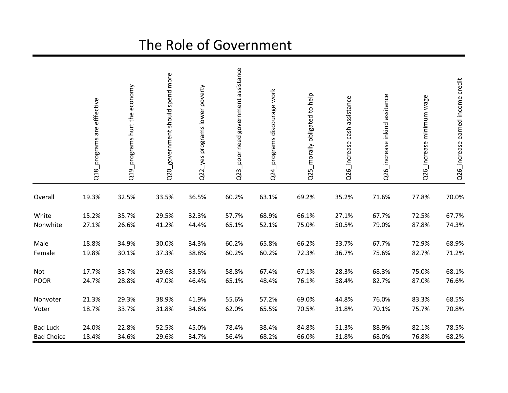# The Role of Government

|                   | Q18_programs are effective | Q19_programs hurt the economy | Q20_government should spend more | Q22_yes programs lower poverty | poor need government assistance<br>Q <sub>2</sub> | Q24_programs discourage work | Q25_morally obligated to help | Q26 increase cash assistance | Q26_increase inkind assitance | Q26_increase minimum wage | Q26_increase earned income credit |
|-------------------|----------------------------|-------------------------------|----------------------------------|--------------------------------|---------------------------------------------------|------------------------------|-------------------------------|------------------------------|-------------------------------|---------------------------|-----------------------------------|
| Overall           | 19.3%                      | 32.5%                         | 33.5%                            | 36.5%                          | 60.2%                                             | 63.1%                        | 69.2%                         | 35.2%                        | 71.6%                         | 77.8%                     | 70.0%                             |
| White             | 15.2%                      | 35.7%                         | 29.5%                            | 32.3%                          | 57.7%                                             | 68.9%                        | 66.1%                         | 27.1%                        | 67.7%                         | 72.5%                     | 67.7%                             |
| Nonwhite          | 27.1%                      | 26.6%                         | 41.2%                            | 44.4%                          | 65.1%                                             | 52.1%                        | 75.0%                         | 50.5%                        | 79.0%                         | 87.8%                     | 74.3%                             |
| Male              | 18.8%                      | 34.9%                         | 30.0%                            | 34.3%                          | 60.2%                                             | 65.8%                        | 66.2%                         | 33.7%                        | 67.7%                         | 72.9%                     | 68.9%                             |
| Female            | 19.8%                      | 30.1%                         | 37.3%                            | 38.8%                          | 60.2%                                             | 60.2%                        | 72.3%                         | 36.7%                        | 75.6%                         | 82.7%                     | 71.2%                             |
| Not               | 17.7%                      | 33.7%                         | 29.6%                            | 33.5%                          | 58.8%                                             | 67.4%                        | 67.1%                         | 28.3%                        | 68.3%                         | 75.0%                     | 68.1%                             |
| <b>POOR</b>       | 24.7%                      | 28.8%                         | 47.0%                            | 46.4%                          | 65.1%                                             | 48.4%                        | 76.1%                         | 58.4%                        | 82.7%                         | 87.0%                     | 76.6%                             |
| Nonvoter          | 21.3%                      | 29.3%                         | 38.9%                            | 41.9%                          | 55.6%                                             | 57.2%                        | 69.0%                         | 44.8%                        | 76.0%                         | 83.3%                     | 68.5%                             |
| Voter             | 18.7%                      | 33.7%                         | 31.8%                            | 34.6%                          | 62.0%                                             | 65.5%                        | 70.5%                         | 31.8%                        | 70.1%                         | 75.7%                     | 70.8%                             |
| <b>Bad Luck</b>   | 24.0%                      | 22.8%                         | 52.5%                            | 45.0%                          | 78.4%                                             | 38.4%                        | 84.8%                         | 51.3%                        | 88.9%                         | 82.1%                     | 78.5%                             |
| <b>Bad Choice</b> | 18.4%                      | 34.6%                         | 29.6%                            | 34.7%                          | 56.4%                                             | 68.2%                        | 66.0%                         | 31.8%                        | 68.0%                         | 76.8%                     | 68.2%                             |